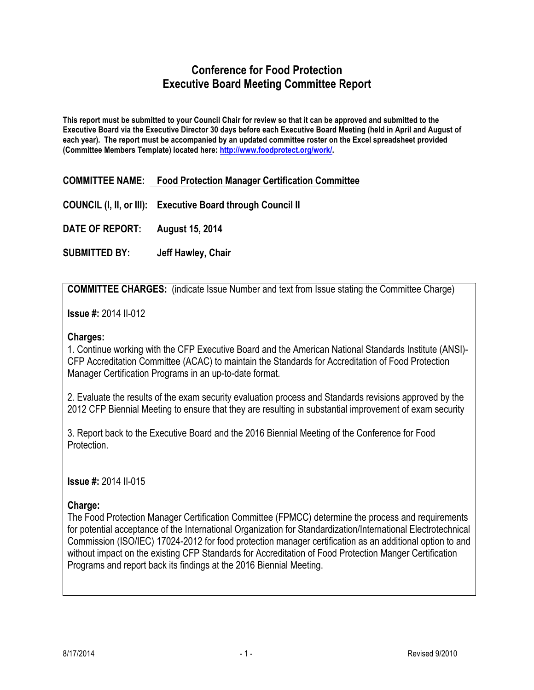## **Conference for Food Protection Executive Board Meeting Committee Report**

**This report must be submitted to your Council Chair for review so that it can be approved and submitted to the Executive Board via the Executive Director 30 days before each Executive Board Meeting (held in April and August of each year). The report must be accompanied by an updated committee roster on the Excel spreadsheet provided (Committee Members Template) located here: http://www.foodprotect.org/work/.**

**COMMITTEE NAME: Food Protection Manager Certification Committee**

**COUNCIL (I, II, or III): Executive Board through Council II**

**DATE OF REPORT: August 15, 2014**

**SUBMITTED BY: Jeff Hawley, Chair**

**COMMITTEE CHARGES:** (indicate Issue Number and text from Issue stating the Committee Charge)

**Issue #:** 2014 II-012

#### **Charges:**

1. Continue working with the CFP Executive Board and the American National Standards Institute (ANSI)- CFP Accreditation Committee (ACAC) to maintain the Standards for Accreditation of Food Protection Manager Certification Programs in an up-to-date format.

2. Evaluate the results of the exam security evaluation process and Standards revisions approved by the 2012 CFP Biennial Meeting to ensure that they are resulting in substantial improvement of exam security

3. Report back to the Executive Board and the 2016 Biennial Meeting of the Conference for Food Protection.

**Issue #:** 2014 II-015

### **Charge:**

The Food Protection Manager Certification Committee (FPMCC) determine the process and requirements for potential acceptance of the International Organization for Standardization/International Electrotechnical Commission (ISO/IEC) 17024-2012 for food protection manager certification as an additional option to and without impact on the existing CFP Standards for Accreditation of Food Protection Manger Certification Programs and report back its findings at the 2016 Biennial Meeting.